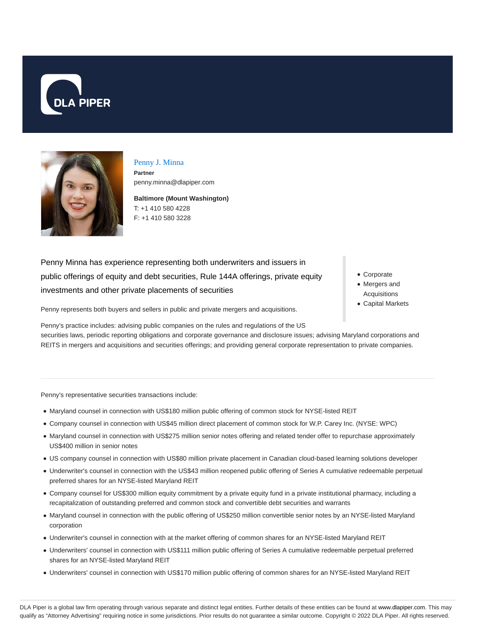



# Penny J. Minna

**Partner** penny.minna@dlapiper.com

**Baltimore (Mount Washington)** T: +1 410 580 4228 F: +1 410 580 3228

Penny Minna has experience representing both underwriters and issuers in public offerings of equity and debt securities, Rule 144A offerings, private equity investments and other private placements of securities

Corporate

- Mergers and Acquisitions
- Capital Markets

Penny represents both buyers and sellers in public and private mergers and acquisitions.

Penny's practice includes: advising public companies on the rules and regulations of the US securities laws, periodic reporting obligations and corporate governance and disclosure issues; advising Maryland corporations and REITS in mergers and acquisitions and securities offerings; and providing general corporate representation to private companies.

Penny's representative securities transactions include:

- Maryland counsel in connection with US\$180 million public offering of common stock for NYSE-listed REIT
- Company counsel in connection with US\$45 million direct placement of common stock for W.P. Carey Inc. (NYSE: WPC)
- Maryland counsel in connection with US\$275 million senior notes offering and related tender offer to repurchase approximately US\$400 million in senior notes
- US company counsel in connection with US\$80 million private placement in Canadian cloud-based learning solutions developer
- Underwriter's counsel in connection with the US\$43 million reopened public offering of Series A cumulative redeemable perpetual preferred shares for an NYSE-listed Maryland REIT
- Company counsel for US\$300 million equity commitment by a private equity fund in a private institutional pharmacy, including a recapitalization of outstanding preferred and common stock and convertible debt securities and warrants
- Maryland counsel in connection with the public offering of US\$250 million convertible senior notes by an NYSE-listed Maryland corporation
- Underwriter's counsel in connection with at the market offering of common shares for an NYSE-listed Maryland REIT
- Underwriters' counsel in connection with US\$111 million public offering of Series A cumulative redeemable perpetual preferred shares for an NYSE-listed Maryland REIT
- Underwriters' counsel in connection with US\$170 million public offering of common shares for an NYSE-listed Maryland REIT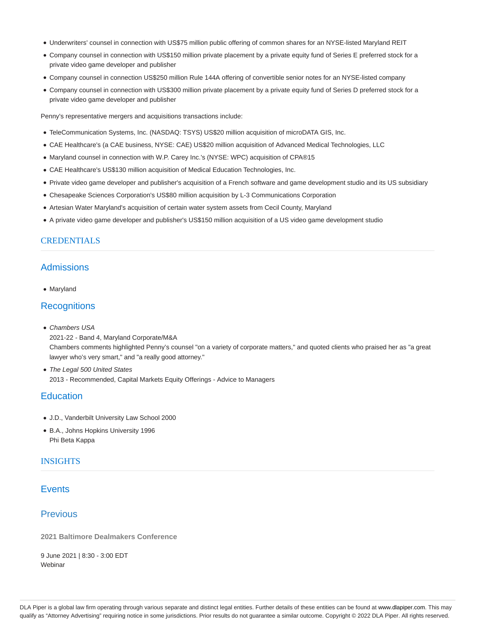- Underwriters' counsel in connection with US\$75 million public offering of common shares for an NYSE-listed Maryland REIT
- Company counsel in connection with US\$150 million private placement by a private equity fund of Series E preferred stock for a private video game developer and publisher
- Company counsel in connection US\$250 million Rule 144A offering of convertible senior notes for an NYSE-listed company
- Company counsel in connection with US\$300 million private placement by a private equity fund of Series D preferred stock for a private video game developer and publisher

Penny's representative mergers and acquisitions transactions include:

- TeleCommunication Systems, Inc. (NASDAQ: TSYS) US\$20 million acquisition of microDATA GIS, Inc.
- CAE Healthcare's (a CAE business, NYSE: CAE) US\$20 million acquisition of Advanced Medical Technologies, LLC
- Maryland counsel in connection with W.P. Carey Inc.'s (NYSE: WPC) acquisition of CPA®15
- CAE Healthcare's US\$130 million acquisition of Medical Education Technologies, Inc.
- Private video game developer and publisher's acquisition of a French software and game development studio and its US subsidiary
- Chesapeake Sciences Corporation's US\$80 million acquisition by L-3 Communications Corporation
- Artesian Water Maryland's acquisition of certain water system assets from Cecil County, Maryland
- A private video game developer and publisher's US\$150 million acquisition of a US video game development studio

### CREDENTIALS

## Admissions

Maryland

## **Recognitions**

- Chambers USA 2021-22 - Band 4, Maryland Corporate/M&A Chambers comments highlighted Penny's counsel "on a variety of corporate matters," and quoted clients who praised her as "a great lawyer who's very smart," and "a really good attorney."
- The Legal 500 United States 2013 - Recommended, Capital Markets Equity Offerings - Advice to Managers

## **Education**

- J.D., Vanderbilt University Law School 2000
- B.A., Johns Hopkins University 1996 Phi Beta Kappa

### **INSIGHTS**

## **Events**

## **Previous**

**2021 Baltimore Dealmakers Conference**

9 June 2021 | 8:30 - 3:00 EDT **Webinar**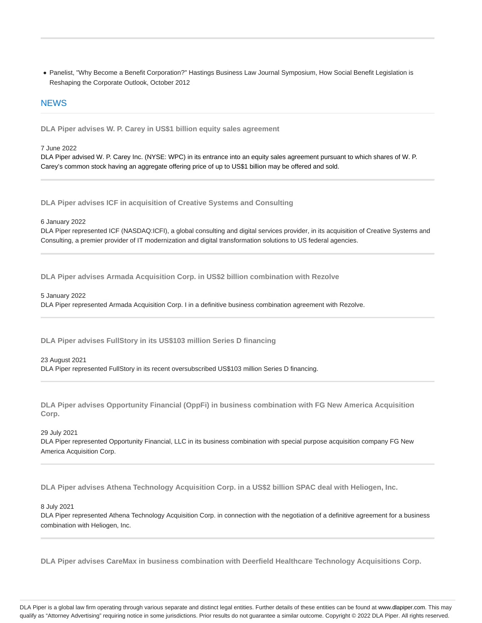Panelist, "Why Become a Benefit Corporation?" Hastings Business Law Journal Symposium, How Social Benefit Legislation is Reshaping the Corporate Outlook, October 2012

### **NEWS**

**DLA Piper advises W. P. Carey in US\$1 billion equity sales agreement**

7 June 2022

DLA Piper advised W. P. Carey Inc. (NYSE: WPC) in its entrance into an equity sales agreement pursuant to which shares of W. P. Carey's common stock having an aggregate offering price of up to US\$1 billion may be offered and sold.

**DLA Piper advises ICF in acquisition of Creative Systems and Consulting**

6 January 2022

DLA Piper represented ICF (NASDAQ:ICFI), a global consulting and digital services provider, in its acquisition of Creative Systems and Consulting, a premier provider of IT modernization and digital transformation solutions to US federal agencies.

**DLA Piper advises Armada Acquisition Corp. in US\$2 billion combination with Rezolve**

5 January 2022

DLA Piper represented Armada Acquisition Corp. I in a definitive business combination agreement with Rezolve.

**DLA Piper advises FullStory in its US\$103 million Series D financing**

### 23 August 2021

DLA Piper represented FullStory in its recent oversubscribed US\$103 million Series D financing.

**DLA Piper advises Opportunity Financial (OppFi) in business combination with FG New America Acquisition Corp.**

#### 29 July 2021

DLA Piper represented Opportunity Financial, LLC in its business combination with special purpose acquisition company FG New America Acquisition Corp.

**DLA Piper advises Athena Technology Acquisition Corp. in a US\$2 billion SPAC deal with Heliogen, Inc.**

### 8 July 2021

DLA Piper represented Athena Technology Acquisition Corp. in connection with the negotiation of a definitive agreement for a business combination with Heliogen, Inc.

**DLA Piper advises CareMax in business combination with Deerfield Healthcare Technology Acquisitions Corp.**

DLA Piper is a global law firm operating through various separate and distinct legal entities. Further details of these entities can be found at www.dlapiper.com. This may qualify as "Attorney Advertising" requiring notice in some jurisdictions. Prior results do not guarantee a similar outcome. Copyright @ 2022 DLA Piper. All rights reserved.